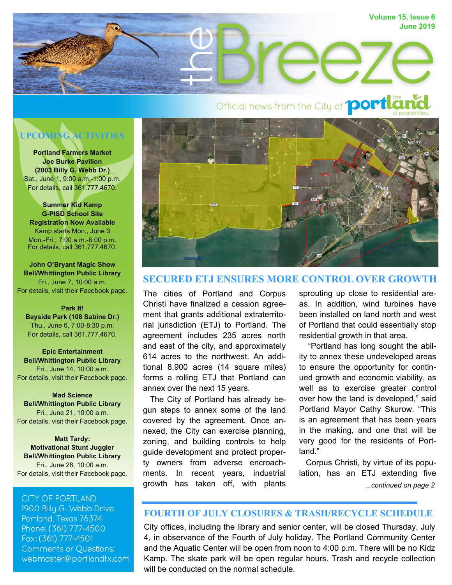

# **UPCOMING ACTIVITIES**

**Portland Farmers Market Joe Burke Pavilion (2003 Billy G. Webb Dr.)**  Sat., June 1, 9:00 a.m.-1:00 p.m. For details, call 361.777.4670.

**Summer Kid Kamp G-PISD School Site Registration Now Available**  Kamp starts Mon., June 3 Mon.-Fri., 7:00 a.m.-6:00 p.m. For details, call 361.777.4670.

**John O'Bryant Magic Show Bell/Whittington Public Library**  Fri., June 7, 10:00 a.m. For details, visit their Facebook page.

#### **Park It!**

**Bayside Park (108 Sabine Dr.)**  Thu., June 6, 7:00-8:30 p.m. For details, call 361.777.4670.

**Epic Entertainment Bell/Whittington Public Library**  Fri., June 14, 10:00 a.m. For details, visit their Facebook page.

**Mad Science Bell/Whittington Public Library**  Fri., June 21, 10:00 a.m. For details, visit their Facebook page.

**Matt Tardy: Motivational Stunt Juggler Bell/Whittington Public Library**  Fri., June 28, 10:00 a.m. For details, visit their Facebook page.

#### **CITY OF PORTLAND**

1900 Billu G. Webb Drive Portland, Texas 78374 Phone: (361) 777-4500 Fax: (361) 777-4501 **Comments or Questions:** webmaster@portlandtx.com



# **SECURED ETJ ENSURES MORE CONTROL OVER GROWTH**

The cities of Portland and Corpus Christi have finalized a cession agreement that grants additional extraterritorial jurisdiction (ETJ) to Portland. The agreement includes 235 acres north and east of the city, and approximately 614 acres to the northwest. An additional 8,900 acres (14 square miles) forms a rolling ETJ that Portland can annex over the next 15 years.

 The City of Portland has already begun steps to annex some of the land covered by the agreement. Once annexed, the City can exercise planning, zoning, and building controls to help guide development and protect property owners from adverse encroachments. In recent years, industrial growth has taken off, with plants

sprouting up close to residential areas. In addition, wind turbines have been installed on land north and west of Portland that could essentially stop residential growth in that area.

 "Portland has long sought the ability to annex these undeveloped areas to ensure the opportunity for continued growth and economic viability, as well as to exercise greater control over how the land is developed," said Portland Mayor Cathy Skurow. "This is an agreement that has been years in the making, and one that will be very good for the residents of Portland."

*...continued on page 2* Corpus Christi, by virtue of its population, has an ETJ extending five

# **FOURTH OF JULY CLOSURES & TRASH/RECYCLE SCHEDULE**

City offices, including the library and senior center, will be closed Thursday, July 4, in observance of the Fourth of July holiday. The Portland Community Center and the Aquatic Center will be open from noon to 4:00 p.m. There will be no Kidz Kamp. The skate park will be open regular hours. Trash and recycle collection will be conducted on the normal schedule.